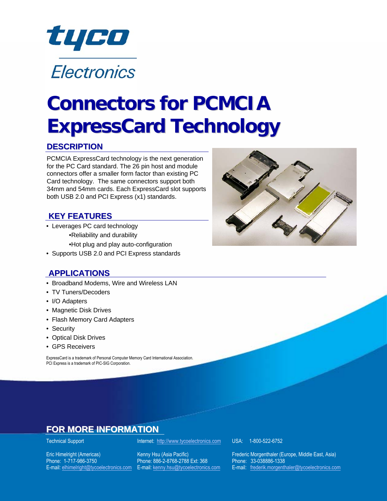

#### **DESCRIPTION**

PCMCIA ExpressCard technology is the next generation for the PC Card standard. The 26 pin host and module connectors offer a smaller form factor than existing PC Card technology. The same connectors support both 34mm and 54mm cards. Each ExpressCard slot supports both USB 2.0 and PCI Express (x1) standards.

#### **KEY FEATURES**

• Leverages PC card technology •Reliability and durability

•Hot plug and play auto-configuration

• Supports USB 2.0 and PCI Express standards

#### **APPLICATIONS**

- Broadband Modems, Wire and Wireless LAN
- TV Tuners/Decoders
- I/O Adapters
- Magnetic Disk Drives
- Flash Memory Card Adapters
- Security
- Optical Disk Drives
- GPS Receivers

ExpressCard is a trademark of Personal Computer Memory Card International Association. PCI Express is a trademark of PIC-SIG Corporation.



Phone: 1-717-986-3750 Phone: 886-2-8768-2788 Ext: 368

Technical Support **Internet:** [http://www.tycoelectronics.com](http://www.tycoelectronics.com/) USA: 1-800-522-6752

Eric Himelright (Americas) Kenny Hsu (Asia Pacific) Frederic Morgenthaler (Europe, Middle East, Asia)<br>
Phone: 1-717-986-3750 Phone: 886-2-8768-2788 Ext: 368 Phone: 33-038886-1338 E-mail: [elhimelright@tycoelectronics.co](mailto:elhimelright@tycoelectronics.com)[m](mailto:elhimelright@tycoelectronics.comE-mail:) E-mail: [kenny.hsu@tycoelectronics.com](mailto:kenny.hsu@tycoelectronics.com) E-mail: freder[ik.morgenthaler@tycoelectronics.com](mailto:frederik.morgenthaler@tycoelectronics.com)

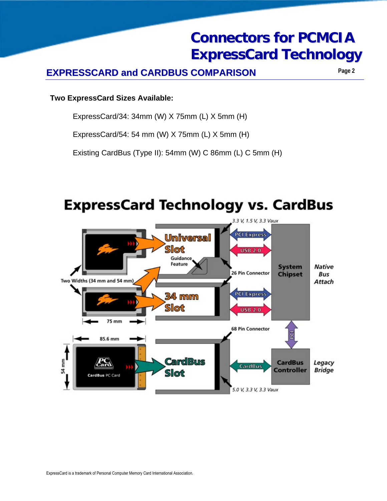## **Connectors for PCMCIA Connectors for PCMCIA ExpressCard Technology ExpressCard Technology**

### **EXPRESSCARD and CARDBUS COMPARISON Page 2**

#### **Two ExpressCard Sizes Available:**

ExpressCard/34: 34mm (W) X 75mm (L) X 5mm (H)

ExpressCard/54: 54 mm (W) X 75mm (L) X 5mm (H)

Existing CardBus (Type II): 54mm (W) C 86mm (L) C 5mm (H)



## **ExpressCard Technology vs. CardBus**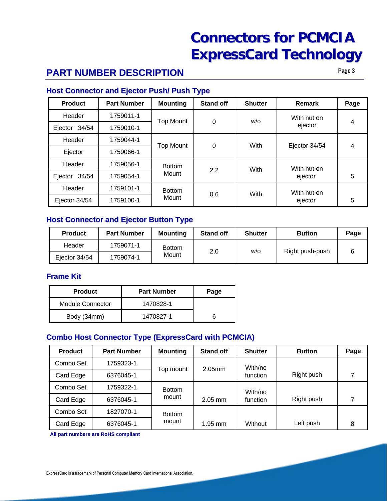### **PART NUMBER DESCRIPTION**

**Page 3**

#### **Host Connector and Ejector Push/ Push Type**

| <b>Product</b>   | <b>Part Number</b> | <b>Mounting</b>      | <b>Stand off</b> | <b>Shutter</b> | Remark        | Page |
|------------------|--------------------|----------------------|------------------|----------------|---------------|------|
| Header           | 1759011-1          | <b>Top Mount</b>     | 0                | w/o            | With nut on   | 4    |
| 34/54<br>Ejector | 1759010-1          |                      |                  |                | ejector       |      |
| Header           | 1759044-1          | <b>Top Mount</b>     |                  | With           | Ejector 34/54 |      |
| Ejector          | 1759066-1          |                      | 0                |                |               | 4    |
| Header           | 1759056-1          | <b>Bottom</b><br>2.2 | With             | With nut on    |               |      |
| 34/54<br>Ejector | 1759054-1          | Mount                |                  |                | ejector       | 5    |
| Header           | 1759101-1          | <b>Bottom</b>        |                  | With           | With nut on   |      |
| Ejector 34/54    | 1759100-1          | Mount                | 0.6              |                | ejector       | 5    |

#### **Host Connector and Ejector Button Type**

| <b>Product</b> | <b>Part Number</b> | <b>Mounting</b>        | <b>Stand off</b> | <b>Shutter</b> | <b>Button</b>   | Page |
|----------------|--------------------|------------------------|------------------|----------------|-----------------|------|
| Header         | 1759071-1          | <b>Bottom</b><br>Mount |                  | w/o            | Right push-push |      |
| Ejector 34/54  | 1759074-1          |                        | 2.0              |                |                 |      |

#### **Frame Kit Frame**

| <b>Product</b>          | <b>Part Number</b> | Page |  |
|-------------------------|--------------------|------|--|
| <b>Module Connector</b> | 1470828-1          |      |  |
| Body (34mm)             | 1470827-1          |      |  |

#### **Combo Host Connector Type (ExpressCard with PCMCIA)**

| <b>Product</b> | <b>Part Number</b> | <b>Mounting</b> | <b>Stand off</b> | <b>Shutter</b> | <b>Button</b> | Page |
|----------------|--------------------|-----------------|------------------|----------------|---------------|------|
| Combo Set      | 1759323-1          | Top mount       | $2.05$ mm        | With/no        |               |      |
| Card Edge      | 6376045-1          |                 |                  | function       | Right push    | ⇁    |
| Combo Set      | 1759322-1          | <b>Bottom</b>   |                  | With/no        |               |      |
| Card Edge      | 6376045-1          | mount           | $2.05$ mm        | function       | Right push    |      |
| Combo Set      | 1827070-1          | <b>Bottom</b>   |                  |                |               |      |
| Card Edge      | 6376045-1          | mount           | $1.95$ mm        | Without        | Left push     | 8    |

**All part numbers are RoHS compliant All numbers are compliant**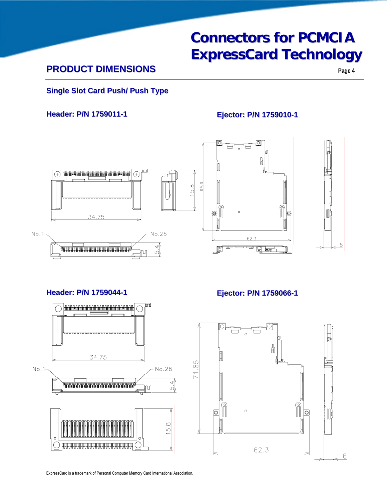### **PRODUCT DIMENSIONS**

**Page 4**

#### **Single Slot Card Push/ Push Type**

**Header: P/N 1759011-1 Ejector: P/N 1759010-1** 



#### **Header: P/N 1759044-1 Ejector: P/N 1759066-1**



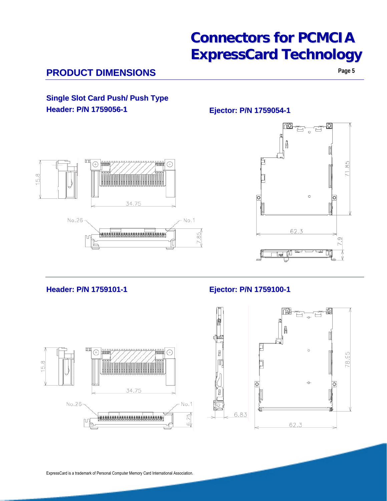### **PRODUCT DIMENSIONS**

**Page 5**

#### **Single Slot Card Push/ Push Type Header: P/N 1759056-1 Ejector: P/N 1759054-1**





#### **Header: P/N 1759101-1 Ejector: P/N 1759100-1**



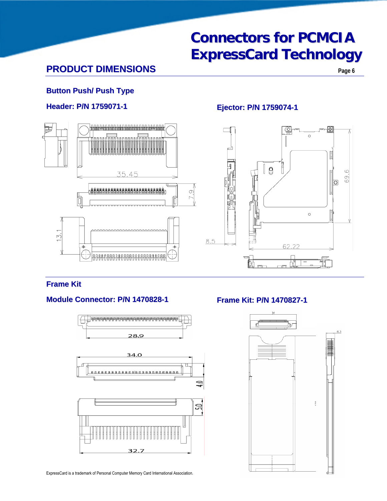## **Connectors for PCMCIA Connectors for PCMCIA ExpressCard Technology ExpressCard Technology**

### **PRODUCT DIMENSIONS**

#### **Button Push/ Push Type**

#### **Header: P/N 1759071-1 Ejector: P/N 1759074-1**





#### **Frame Kit Frame**

#### **Module Connector: P/N 1470828-1 Frame Kit: P/N 1470827-1**



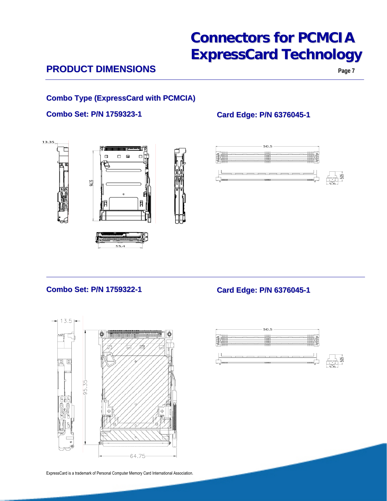### **PRODUCT DIMENSIONS**

#### **Combo Type (ExpressCard with PCMCIA) Combo Type (ExpressCard with PCMCIA)**

#### **Combo Set: P/N 1759323-1 Card Edge: P/N 6376045-1**







#### **Combo Set: P/N 1759322-1 Card Edge: P/N 6376045-1**

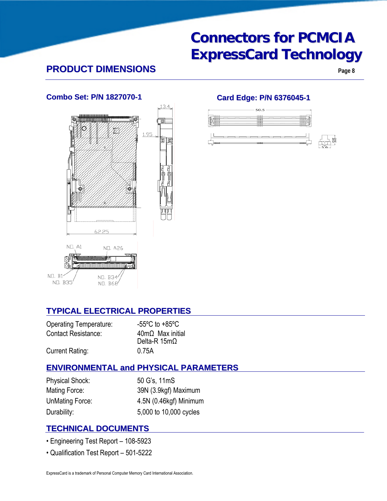### **PRODUCT DIMENSIONS Page 8**



#### **Combo Set: P/N 1827070-1 Card Edge: P/N 6376045-1**



#### **TYPICAL ELECTRICAL PROPERTIES**

| <b>Operating Temperature:</b> | $-55^{\circ}$ C to $+85^{\circ}$ C |
|-------------------------------|------------------------------------|
| Contact Resistance:           | $40m\Omega$ Max initial            |
|                               | Delta-R $15m\Omega$                |
| <b>Current Rating:</b>        | 0.75A                              |

#### **ENVIRONMENTAL and PHYSICAL PARAMETERS**

Physical Shock: 50 G's, 11mS

Mating Force: 39N (3.9kgf) Maximum UnMating Force: 4.5N (0.46kgf) Minimum Durability: 5,000 to 10,000 cycles

#### **TECHNICAL DOCUMENTS**

- Engineering Test Report 108-5923
- Qualification Test Report 501-5222